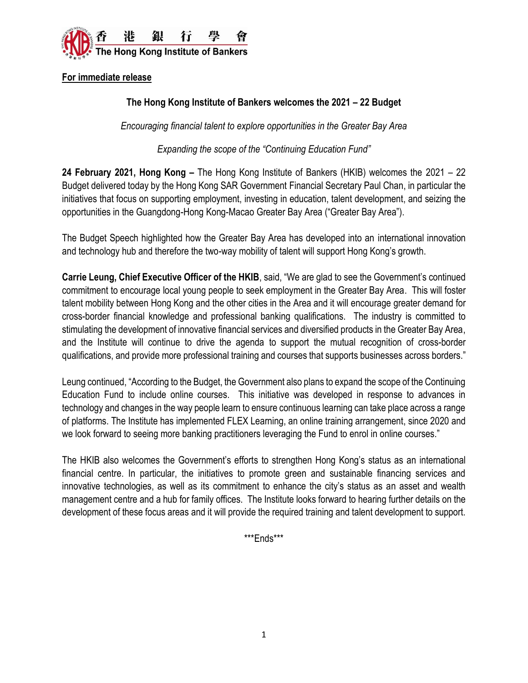

**For immediate release**

# **The Hong Kong Institute of Bankers welcomes the 2021 – 22 Budget**

*Encouraging financial talent to explore opportunities in the Greater Bay Area*

*Expanding the scope of the "Continuing Education Fund"*

**24 February 2021, Hong Kong –** The Hong Kong Institute of Bankers (HKIB) welcomes the 2021 – 22 Budget delivered today by the Hong Kong SAR Government Financial Secretary Paul Chan, in particular the initiatives that focus on supporting employment, investing in education, talent development, and seizing the opportunities in the Guangdong-Hong Kong-Macao Greater Bay Area ("Greater Bay Area").

The Budget Speech highlighted how the Greater Bay Area has developed into an international innovation and technology hub and therefore the two-way mobility of talent will support Hong Kong's growth.

**Carrie Leung, Chief Executive Officer of the HKIB**, said, "We are glad to see the Government's continued commitment to encourage local young people to seek employment in the Greater Bay Area. This will foster talent mobility between Hong Kong and the other cities in the Area and it will encourage greater demand for cross-border financial knowledge and professional banking qualifications. The industry is committed to stimulating the development of innovative financial services and diversified products in the Greater Bay Area, and the Institute will continue to drive the agenda to support the mutual recognition of cross-border qualifications, and provide more professional training and courses that supports businesses across borders."

Leung continued, "According to the Budget, the Government also plans to expand the scope of the Continuing Education Fund to include online courses. This initiative was developed in response to advances in technology and changes in the way people learn to ensure continuous learning can take place across a range of platforms. The Institute has implemented FLEX Learning, an online training arrangement, since 2020 and we look forward to seeing more banking practitioners leveraging the Fund to enrol in online courses."

The HKIB also welcomes the Government's efforts to strengthen Hong Kong's status as an international financial centre. In particular, the initiatives to promote green and sustainable financing services and innovative technologies, as well as its commitment to enhance the city's status as an asset and wealth management centre and a hub for family offices. The Institute looks forward to hearing further details on the development of these focus areas and it will provide the required training and talent development to support.

\*\*\*Ends\*\*\*